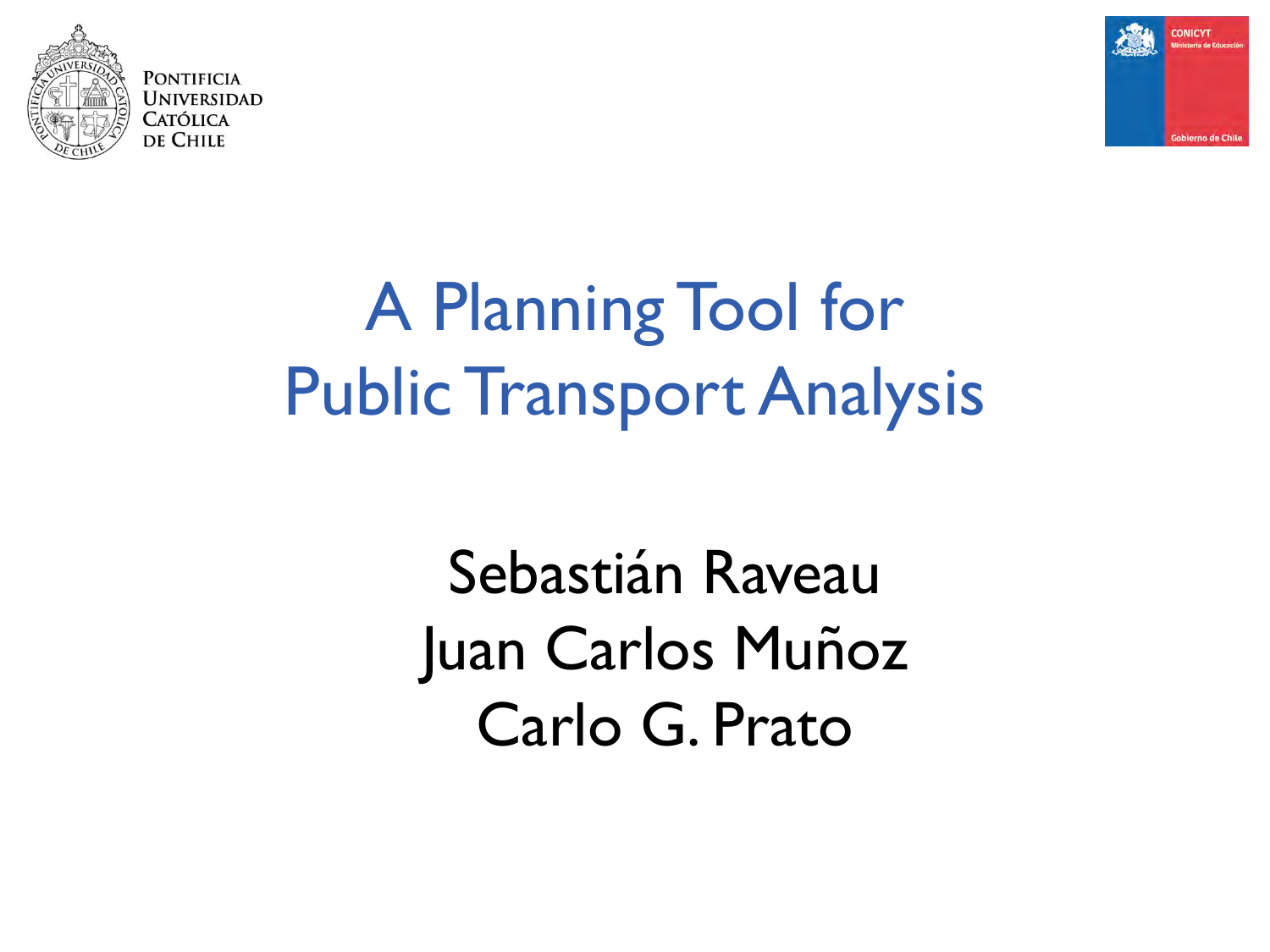

PONTIFICIA Universidad Católica de Chile



# A Planning Tool for Public Transport Analysis

Sebastián Raveau Juan Carlos Muñoz Carlo G. Prato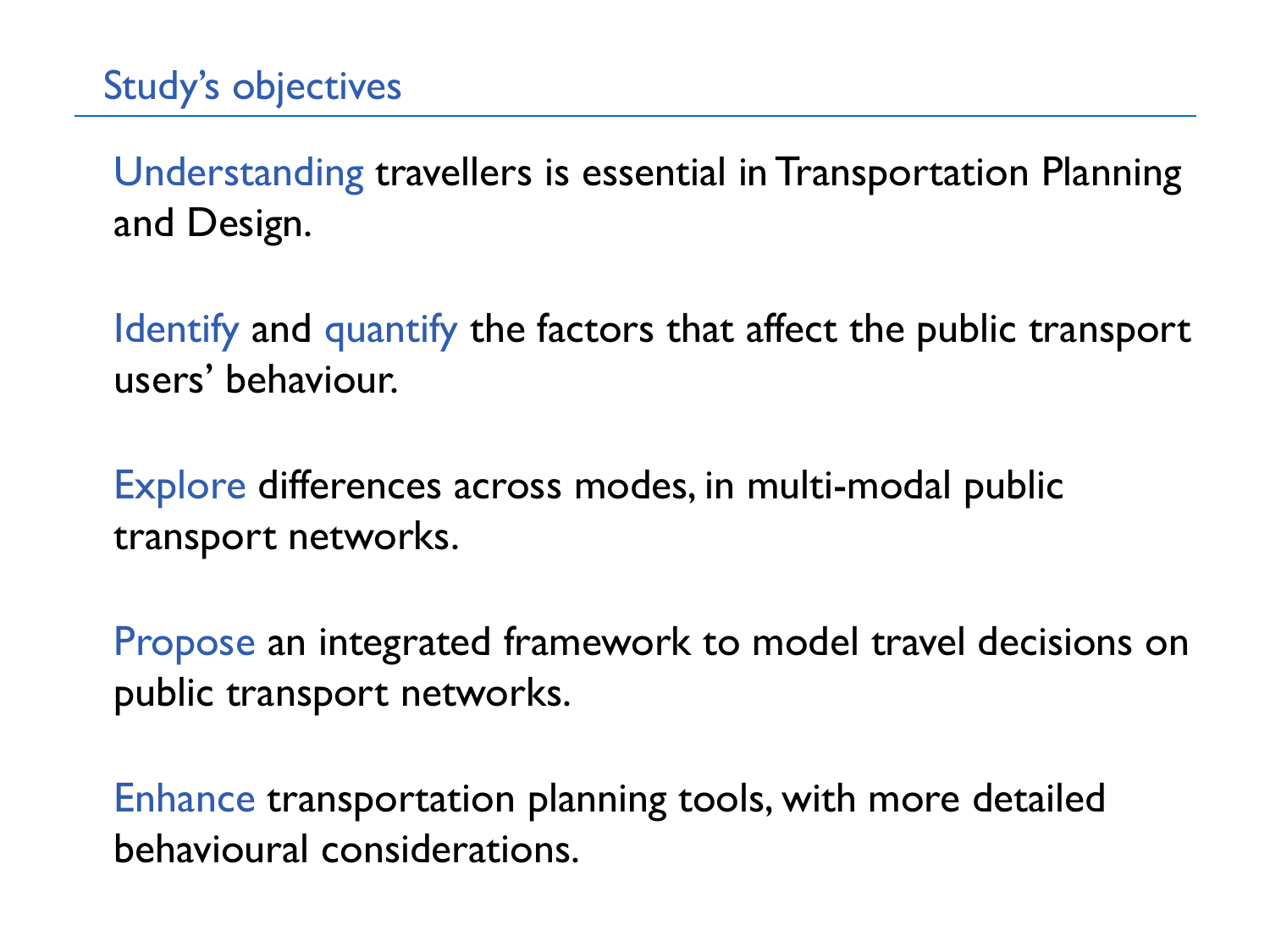Understanding travellers is essential in Transportation Planning and Design.

Identify and quantify the factors that affect the public transport users' behaviour.

Explore differences across modes, in multi-modal public transport networks.

Propose an integrated framework to model travel decisions on public transport networks.

Enhance transportation planning tools, with more detailed behavioural considerations.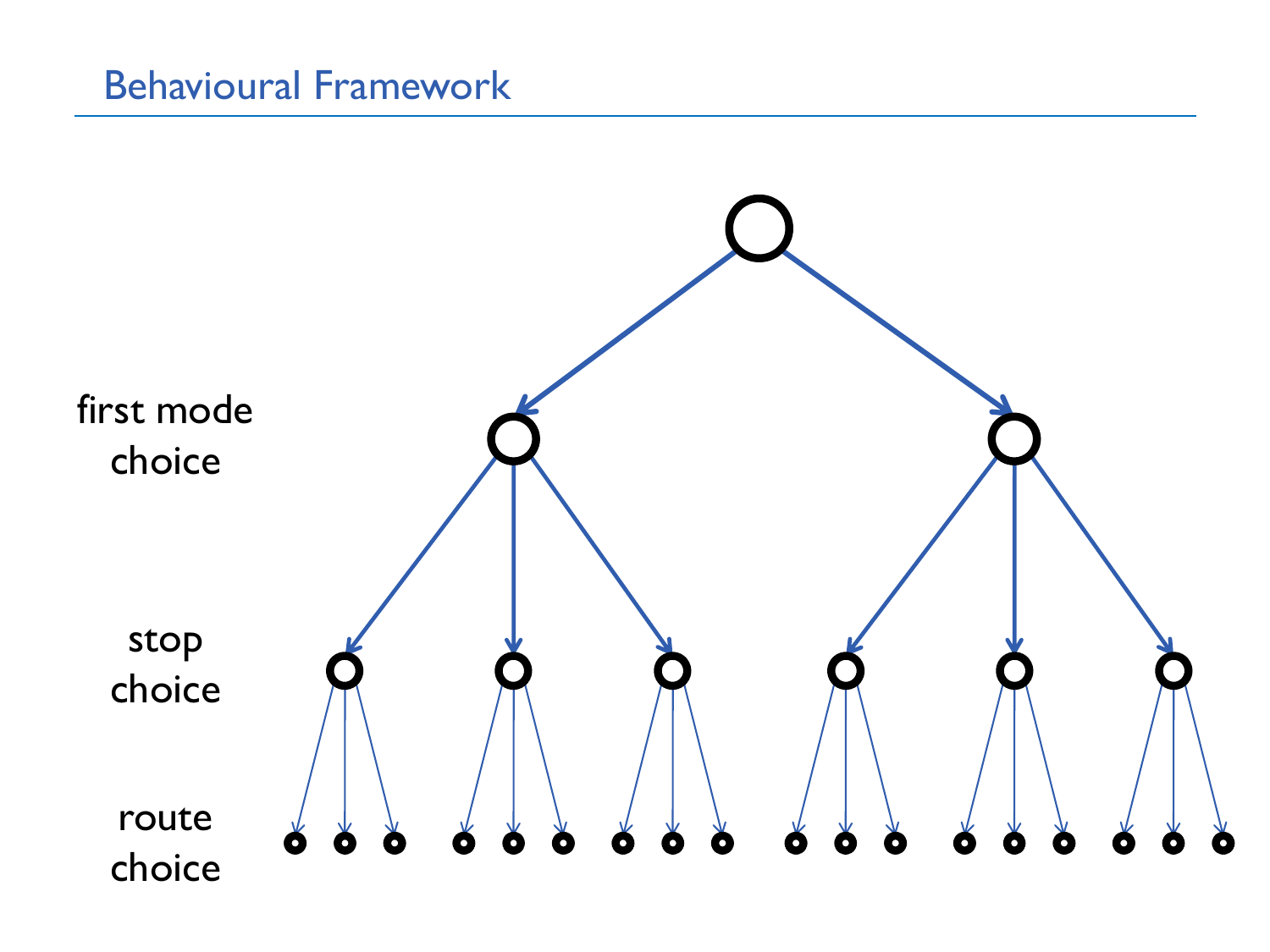### Behavioural Framework

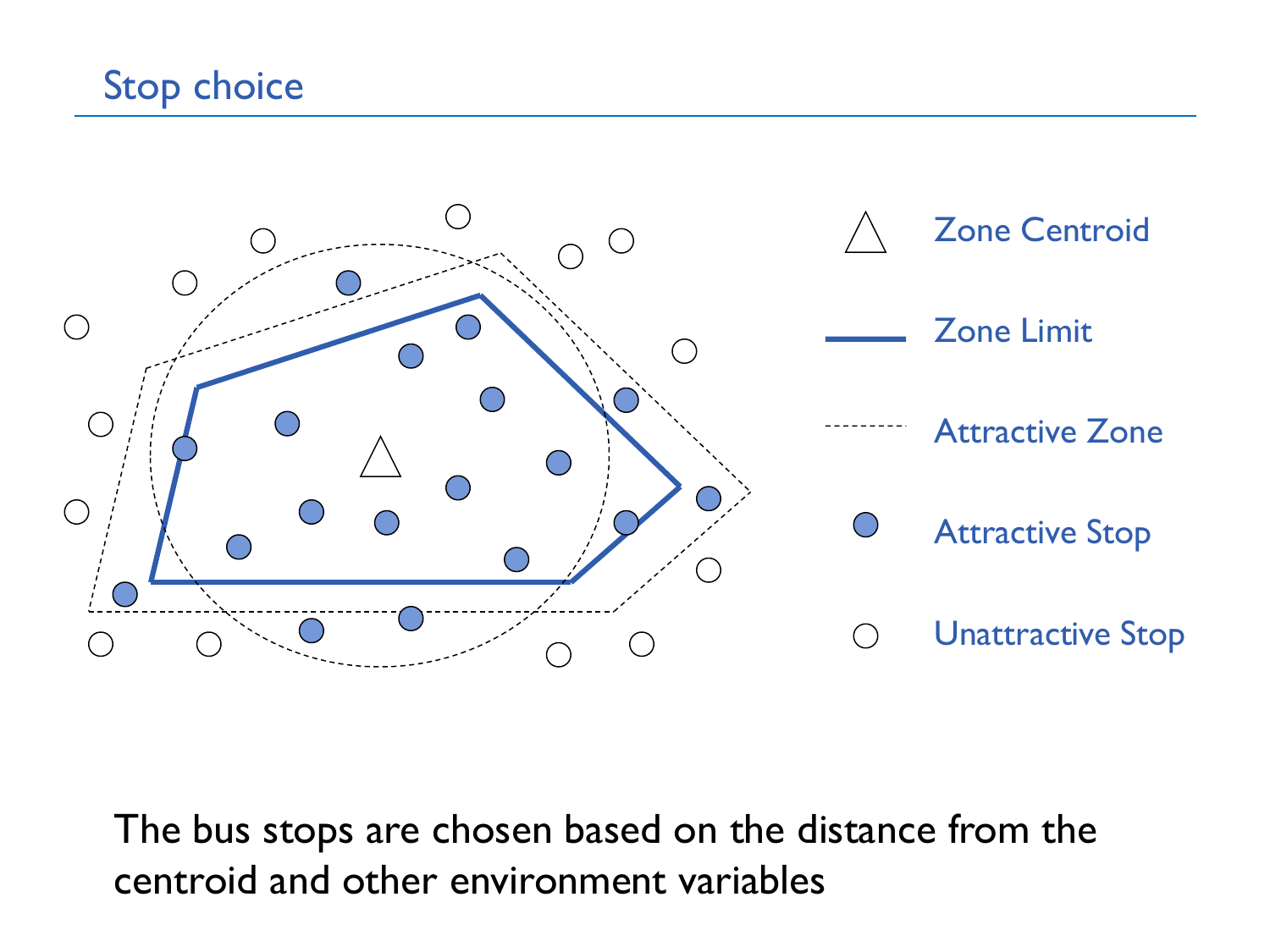# Stop choice



The bus stops are chosen based on the distance from the centroid and other environment variables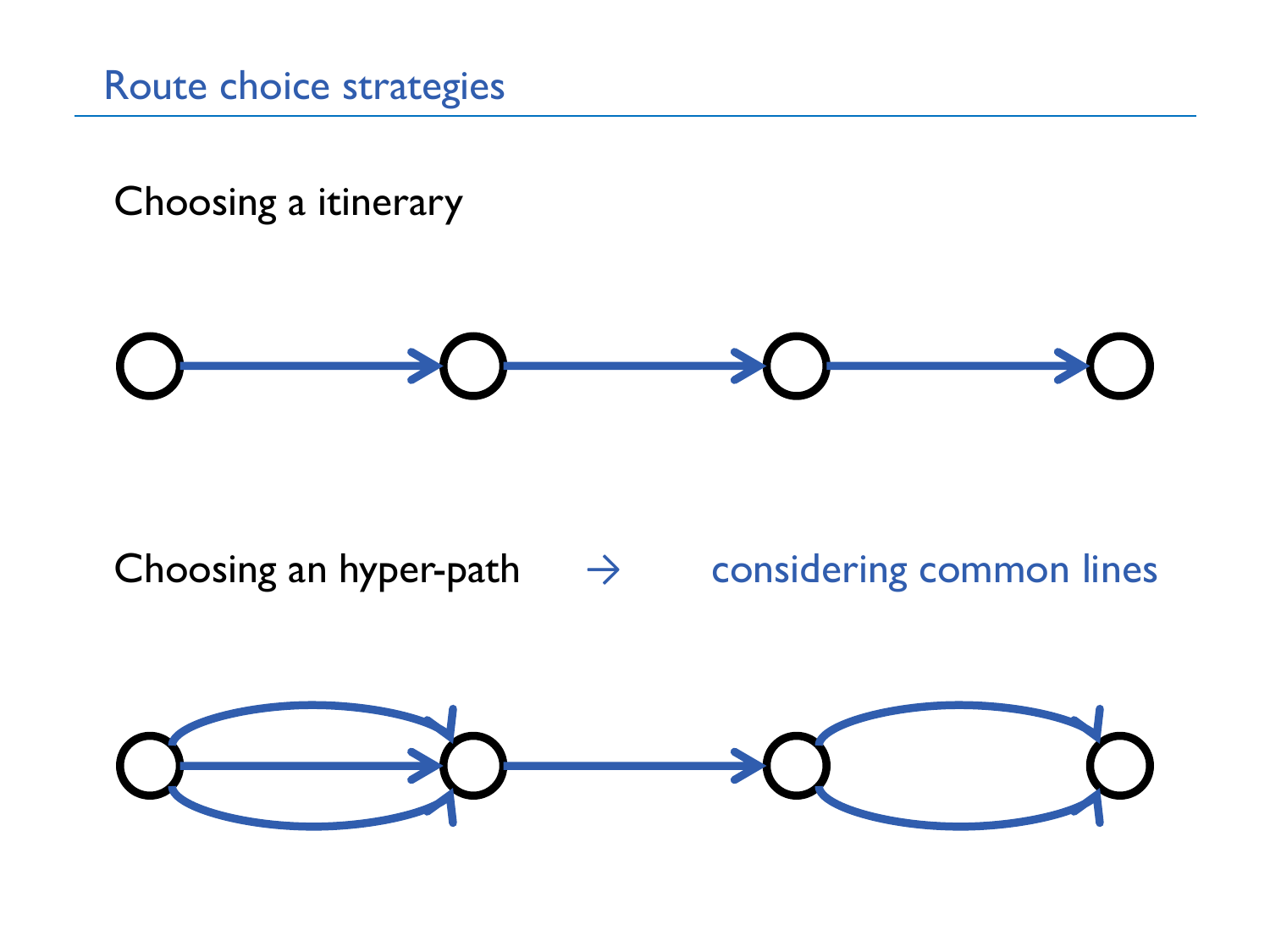Route choice strategies

Choosing a itinerary



Choosing an hyper-path  $\rightarrow$  considering common lines

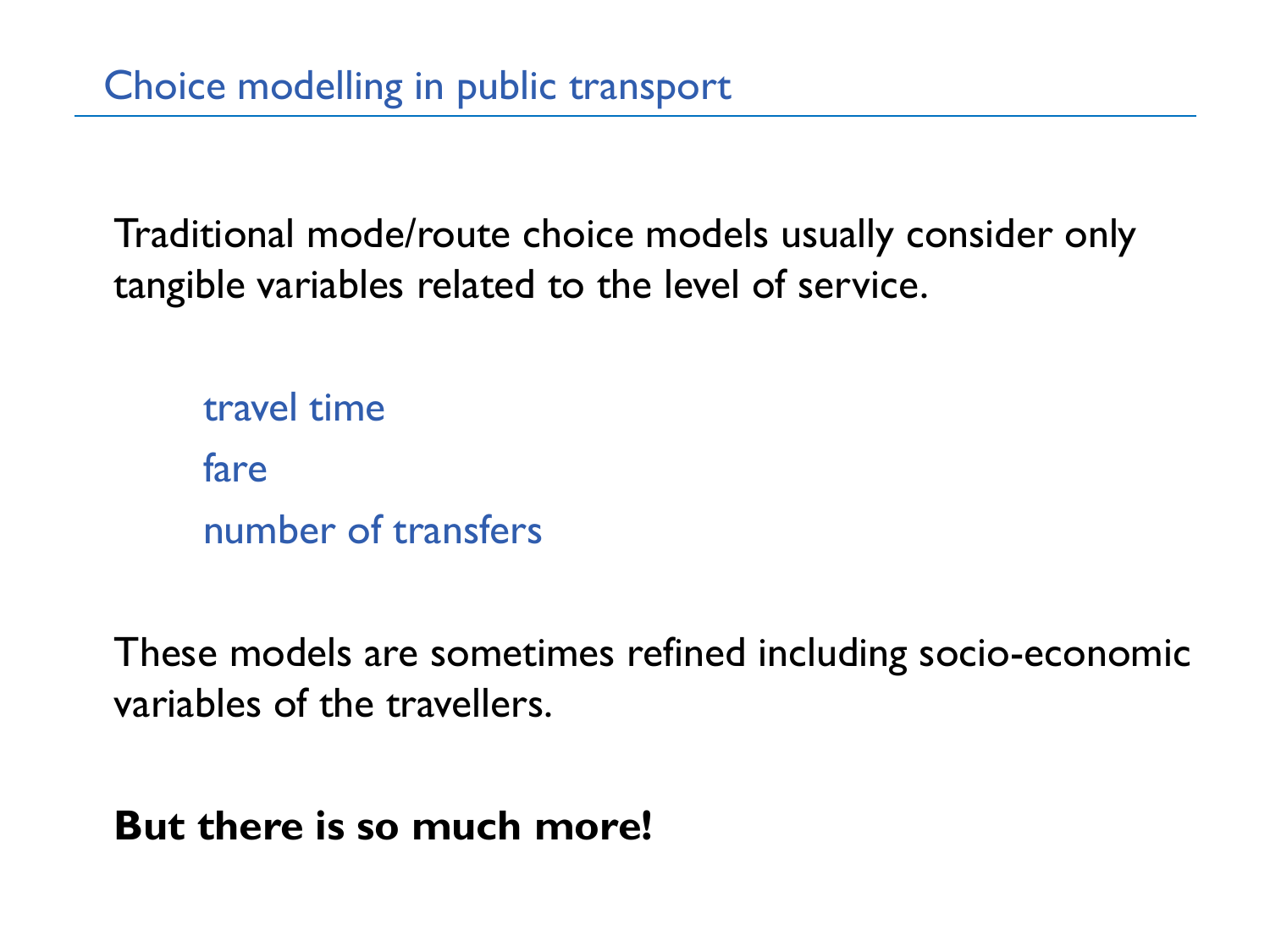Traditional mode/route choice models usually consider only tangible variables related to the level of service.

travel time fare number of transfers

These models are sometimes refined including socio-economic variables of the travellers.

**But there is so much more!**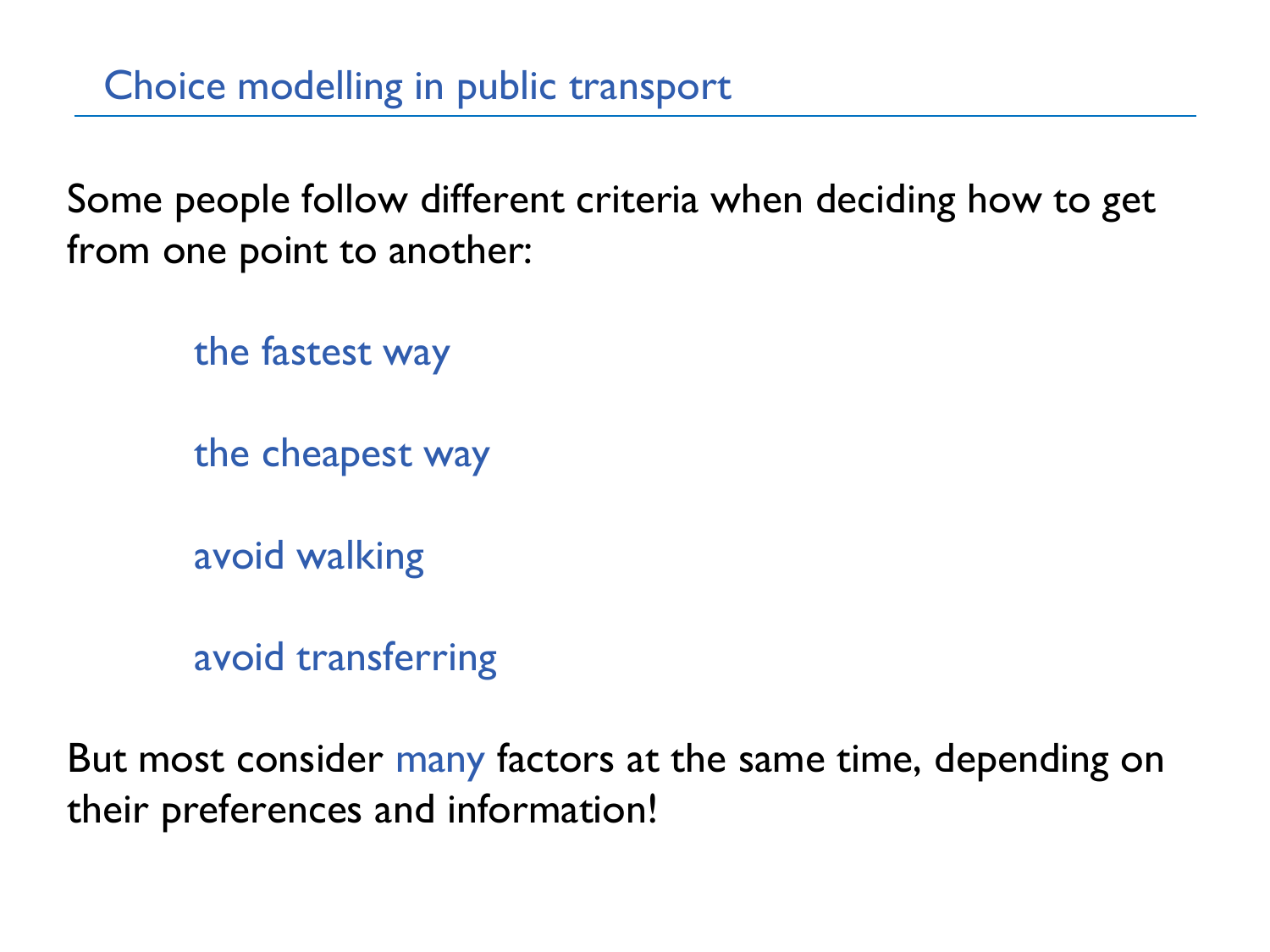Some people follow different criteria when deciding how to get from one point to another:

the fastest way

the cheapest way

avoid walking

avoid transferring

But most consider many factors at the same time, depending on their preferences and information!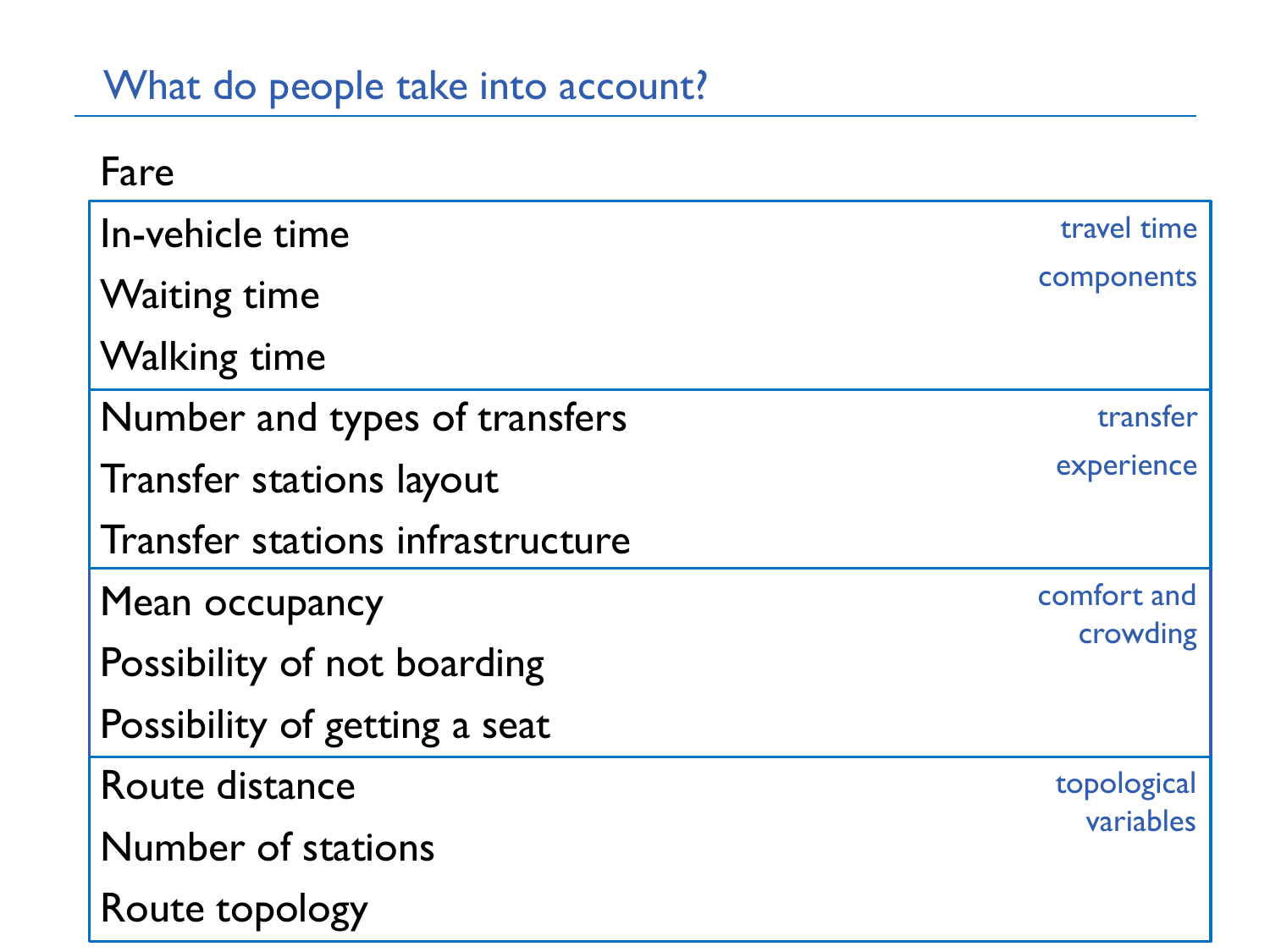# What do people take into account?

| Fare                             |                         |
|----------------------------------|-------------------------|
| In-vehicle time                  | travel time             |
| <b>Waiting time</b>              | components              |
| <b>Walking time</b>              |                         |
| Number and types of transfers    | transfer                |
| <b>Transfer stations layout</b>  | experience              |
| Transfer stations infrastructure |                         |
| Mean occupancy                   | comfort and<br>crowding |
| Possibility of not boarding      |                         |
| Possibility of getting a seat    |                         |
| Route distance                   | topological             |
| Number of stations               | variables               |
| Route topology                   |                         |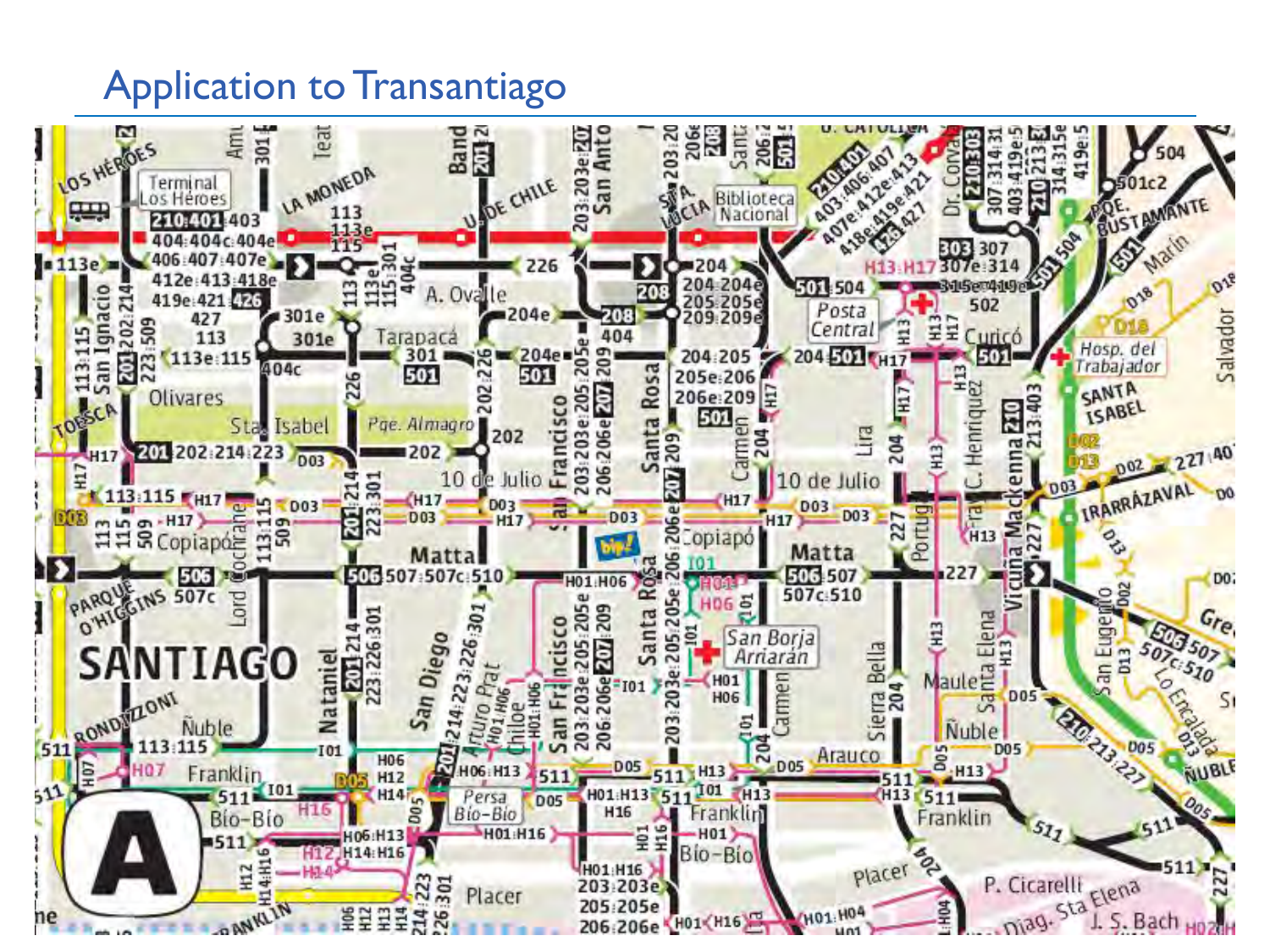## Application to Transantiago

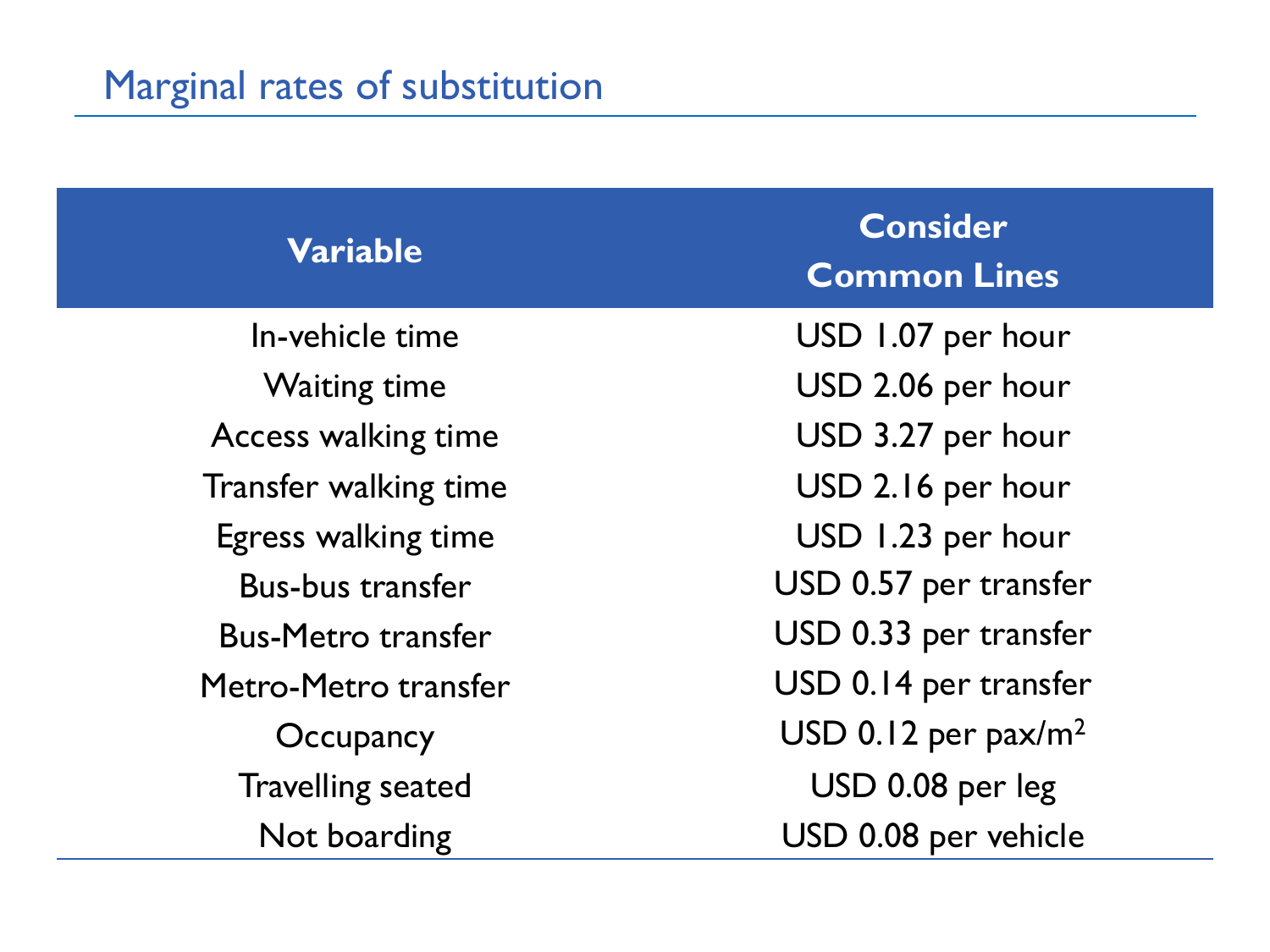| <b>Variable</b>           | <b>Consider</b><br><b>Common Lines</b> |
|---------------------------|----------------------------------------|
| In-vehicle time           | USD 1.07 per hour                      |
| <b>Waiting time</b>       | USD 2.06 per hour                      |
| Access walking time       | USD 3.27 per hour                      |
| Transfer walking time     | USD 2.16 per hour                      |
| Egress walking time       | USD 1.23 per hour                      |
| <b>Bus-bus transfer</b>   | USD 0.57 per transfer                  |
| <b>Bus-Metro transfer</b> | USD 0.33 per transfer                  |
| Metro-Metro transfer      | USD 0.14 per transfer                  |
| Occupancy                 | USD 0.12 per pax/ $m^2$                |
| <b>Travelling seated</b>  | USD 0.08 per leg                       |
| Not boarding              | USD 0.08 per vehicle                   |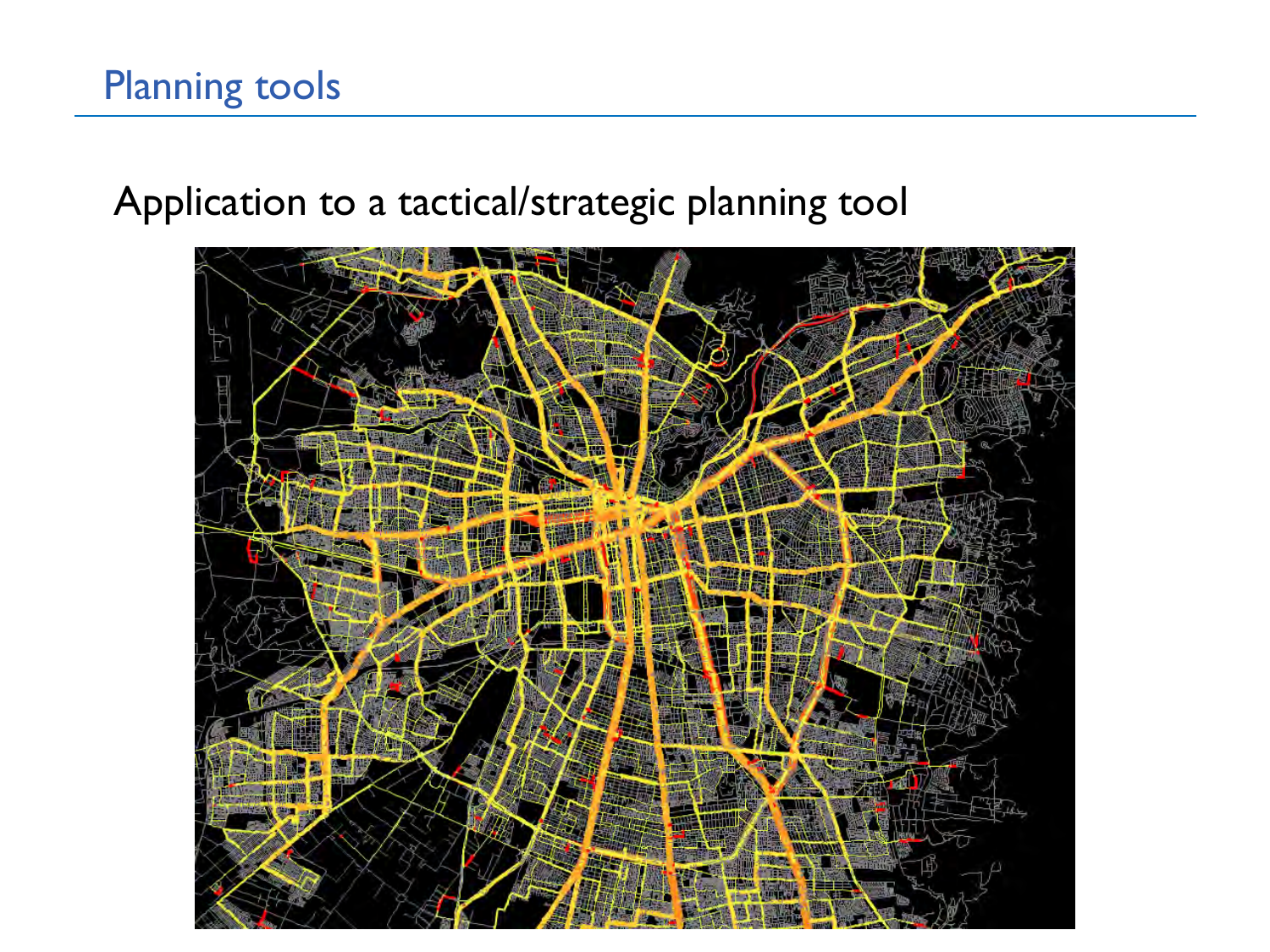# Application to a tactical/strategic planning tool

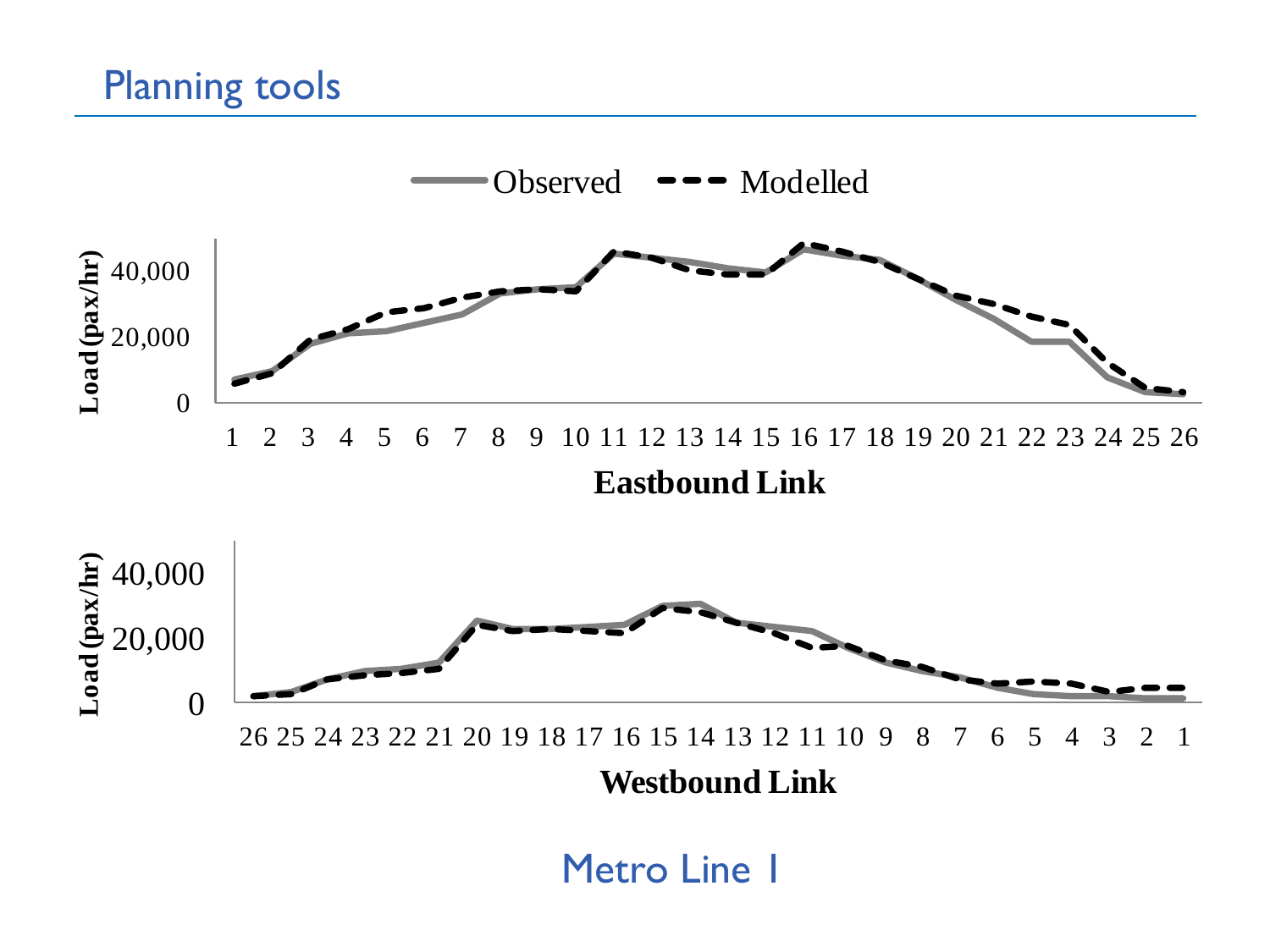

Metro Line I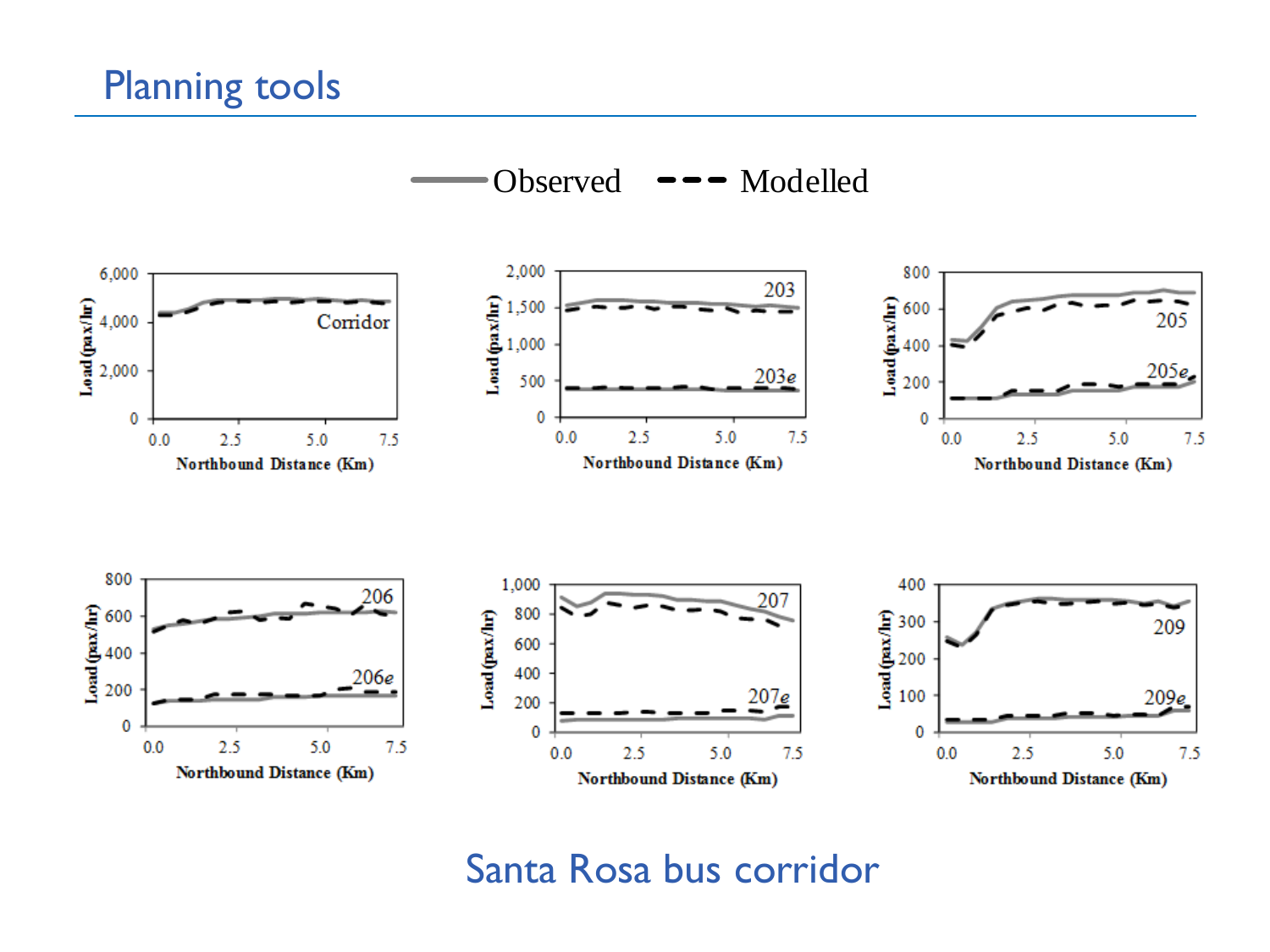#### Planning tools



#### Santa Rosa bus corridor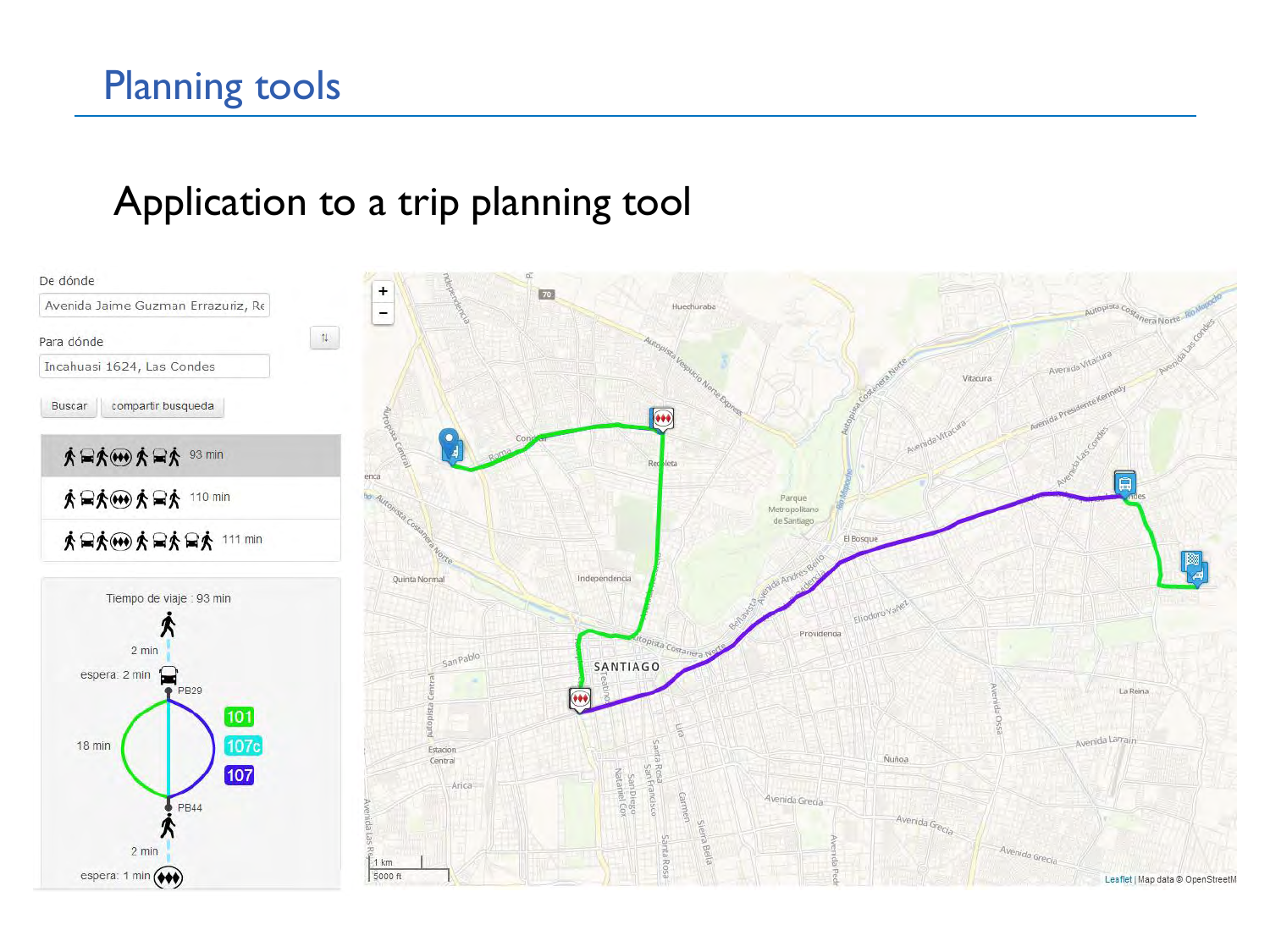# Planning tools

### Application to a trip planning tool